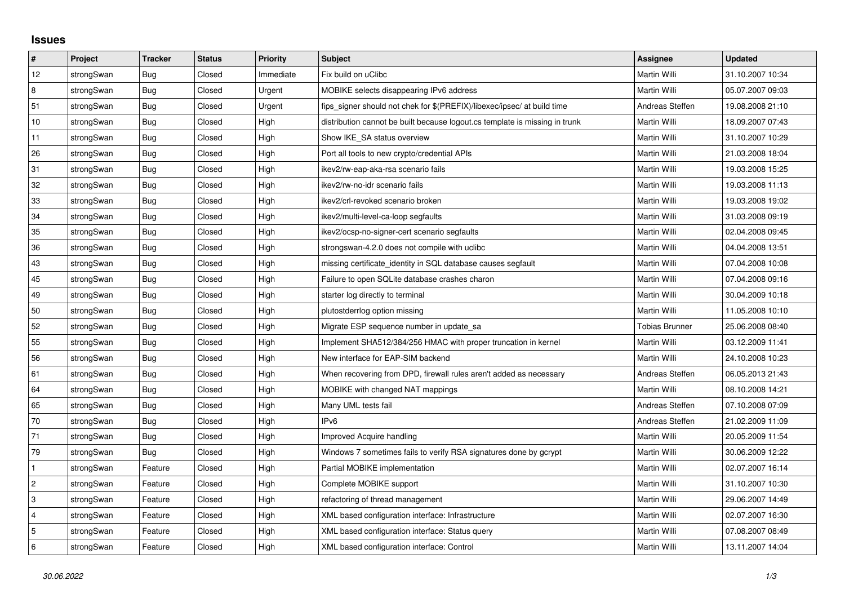## **Issues**

| $\sharp$                  | Project    | <b>Tracker</b> | <b>Status</b> | <b>Priority</b> | <b>Subject</b>                                                              | <b>Assignee</b>       | <b>Updated</b>   |
|---------------------------|------------|----------------|---------------|-----------------|-----------------------------------------------------------------------------|-----------------------|------------------|
| 12                        | strongSwan | <b>Bug</b>     | Closed        | Immediate       | Fix build on uClibc                                                         | Martin Willi          | 31.10.2007 10:34 |
| 8                         | strongSwan | Bug            | Closed        | Urgent          | MOBIKE selects disappearing IPv6 address                                    | Martin Willi          | 05.07.2007 09:03 |
| 51                        | strongSwan | Bug            | Closed        | Urgent          | fips_signer should not chek for \$(PREFIX)/libexec/ipsec/ at build time     | Andreas Steffen       | 19.08.2008 21:10 |
| 10                        | strongSwan | <b>Bug</b>     | Closed        | High            | distribution cannot be built because logout cs template is missing in trunk | Martin Willi          | 18.09.2007 07:43 |
| 11                        | strongSwan | Bug            | Closed        | High            | Show IKE SA status overview                                                 | Martin Willi          | 31.10.2007 10:29 |
| 26                        | strongSwan | Bug            | Closed        | High            | Port all tools to new crypto/credential APIs                                | Martin Willi          | 21.03.2008 18:04 |
| 31                        | strongSwan | Bug            | Closed        | High            | ikev2/rw-eap-aka-rsa scenario fails                                         | Martin Willi          | 19.03.2008 15:25 |
| 32                        | strongSwan | Bug            | Closed        | High            | ikev2/rw-no-idr scenario fails                                              | Martin Willi          | 19.03.2008 11:13 |
| 33                        | strongSwan | <b>Bug</b>     | Closed        | High            | ikev2/crl-revoked scenario broken                                           | Martin Willi          | 19.03.2008 19:02 |
| 34                        | strongSwan | Bug            | Closed        | High            | ikev2/multi-level-ca-loop segfaults                                         | Martin Willi          | 31.03.2008 09:19 |
| 35                        | strongSwan | Bug            | Closed        | High            | ikev2/ocsp-no-signer-cert scenario segfaults                                | Martin Willi          | 02.04.2008 09:45 |
| 36                        | strongSwan | Bug            | Closed        | High            | strongswan-4.2.0 does not compile with uclibe                               | Martin Willi          | 04.04.2008 13:51 |
| 43                        | strongSwan | Bug            | Closed        | High            | missing certificate identity in SQL database causes segfault                | Martin Willi          | 07.04.2008 10:08 |
| 45                        | strongSwan | Bug            | Closed        | High            | Failure to open SQLite database crashes charon                              | Martin Willi          | 07.04.2008 09:16 |
| 49                        | strongSwan | <b>Bug</b>     | Closed        | High            | starter log directly to terminal                                            | Martin Willi          | 30.04.2009 10:18 |
| 50                        | strongSwan | Bug            | Closed        | High            | plutostderrlog option missing                                               | <b>Martin Willi</b>   | 11.05.2008 10:10 |
| 52                        | strongSwan | <b>Bug</b>     | Closed        | High            | Migrate ESP sequence number in update_sa                                    | <b>Tobias Brunner</b> | 25.06.2008 08:40 |
| 55                        | strongSwan | Bug            | Closed        | High            | Implement SHA512/384/256 HMAC with proper truncation in kernel              | Martin Willi          | 03.12.2009 11:41 |
| 56                        | strongSwan | Bug            | Closed        | High            | New interface for EAP-SIM backend                                           | Martin Willi          | 24.10.2008 10:23 |
| 61                        | strongSwan | Bug            | Closed        | High            | When recovering from DPD, firewall rules aren't added as necessary          | Andreas Steffen       | 06.05.2013 21:43 |
| 64                        | strongSwan | <b>Bug</b>     | Closed        | High            | MOBIKE with changed NAT mappings                                            | <b>Martin Willi</b>   | 08.10.2008 14:21 |
| 65                        | strongSwan | Bug            | Closed        | High            | Many UML tests fail                                                         | Andreas Steffen       | 07.10.2008 07:09 |
| 70                        | strongSwan | Bug            | Closed        | High            | IPv <sub>6</sub>                                                            | Andreas Steffen       | 21.02.2009 11:09 |
| 71                        | strongSwan | <b>Bug</b>     | Closed        | High            | Improved Acquire handling                                                   | Martin Willi          | 20.05.2009 11:54 |
| 79                        | strongSwan | Bug            | Closed        | High            | Windows 7 sometimes fails to verify RSA signatures done by gcrypt           | Martin Willi          | 30.06.2009 12:22 |
| $\mathbf{1}$              | strongSwan | Feature        | Closed        | High            | Partial MOBIKE implementation                                               | Martin Willi          | 02.07.2007 16:14 |
| $\sqrt{2}$                | strongSwan | Feature        | Closed        | High            | Complete MOBIKE support                                                     | Martin Willi          | 31.10.2007 10:30 |
| $\ensuremath{\mathsf{3}}$ | strongSwan | Feature        | Closed        | High            | refactoring of thread management                                            | Martin Willi          | 29.06.2007 14:49 |
| $\overline{4}$            | strongSwan | Feature        | Closed        | High            | XML based configuration interface: Infrastructure                           | Martin Willi          | 02.07.2007 16:30 |
| $\sqrt{5}$                | strongSwan | Feature        | Closed        | High            | XML based configuration interface: Status query                             | Martin Willi          | 07.08.2007 08:49 |
| $\,6\,$                   | strongSwan | Feature        | Closed        | High            | XML based configuration interface: Control                                  | Martin Willi          | 13.11.2007 14:04 |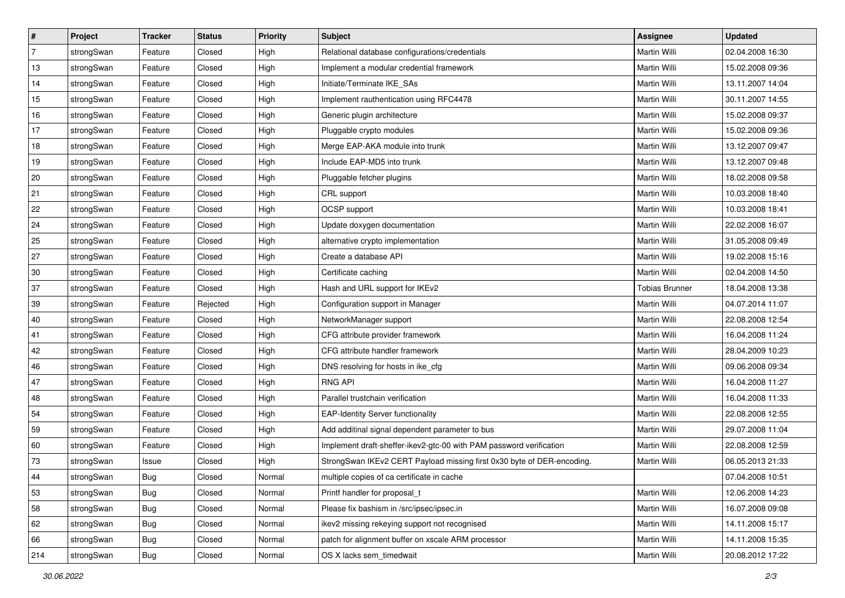| ∦              | Project    | <b>Tracker</b> | <b>Status</b> | <b>Priority</b> | <b>Subject</b>                                                         | Assignee              | <b>Updated</b>   |
|----------------|------------|----------------|---------------|-----------------|------------------------------------------------------------------------|-----------------------|------------------|
| $\overline{7}$ | strongSwan | Feature        | Closed        | High            | Relational database configurations/credentials                         | Martin Willi          | 02.04.2008 16:30 |
| 13             | strongSwan | Feature        | Closed        | High            | Implement a modular credential framework                               | Martin Willi          | 15.02.2008 09:36 |
| 14             | strongSwan | Feature        | Closed        | High            | Initiate/Terminate IKE_SAs                                             | Martin Willi          | 13.11.2007 14:04 |
| 15             | strongSwan | Feature        | Closed        | High            | Implement rauthentication using RFC4478                                | <b>Martin Willi</b>   | 30.11.2007 14:55 |
| 16             | strongSwan | Feature        | Closed        | High            | Generic plugin architecture                                            | <b>Martin Willi</b>   | 15.02.2008 09:37 |
| 17             | strongSwan | Feature        | Closed        | High            | Pluggable crypto modules                                               | Martin Willi          | 15.02.2008 09:36 |
| 18             | strongSwan | Feature        | Closed        | High            | Merge EAP-AKA module into trunk                                        | Martin Willi          | 13.12.2007 09:47 |
| 19             | strongSwan | Feature        | Closed        | High            | Include EAP-MD5 into trunk                                             | Martin Willi          | 13.12.2007 09:48 |
| 20             | strongSwan | Feature        | Closed        | High            | Pluggable fetcher plugins                                              | Martin Willi          | 18.02.2008 09:58 |
| 21             | strongSwan | Feature        | Closed        | High            | CRL support                                                            | <b>Martin Willi</b>   | 10.03.2008 18:40 |
| 22             | strongSwan | Feature        | Closed        | High            | OCSP support                                                           | Martin Willi          | 10.03.2008 18:41 |
| 24             | strongSwan | Feature        | Closed        | High            | Update doxygen documentation                                           | <b>Martin Willi</b>   | 22.02.2008 16:07 |
| 25             | strongSwan | Feature        | Closed        | High            | alternative crypto implementation                                      | <b>Martin Willi</b>   | 31.05.2008 09:49 |
| 27             | strongSwan | Feature        | Closed        | High            | Create a database API                                                  | Martin Willi          | 19.02.2008 15:16 |
| 30             | strongSwan | Feature        | Closed        | High            | Certificate caching                                                    | <b>Martin Willi</b>   | 02.04.2008 14:50 |
| 37             | strongSwan | Feature        | Closed        | High            | Hash and URL support for IKEv2                                         | <b>Tobias Brunner</b> | 18.04.2008 13:38 |
| 39             | strongSwan | Feature        | Rejected      | High            | Configuration support in Manager                                       | <b>Martin Willi</b>   | 04.07.2014 11:07 |
| 40             | strongSwan | Feature        | Closed        | High            | NetworkManager support                                                 | Martin Willi          | 22.08.2008 12:54 |
| 41             | strongSwan | Feature        | Closed        | High            | CFG attribute provider framework                                       | Martin Willi          | 16.04.2008 11:24 |
| 42             | strongSwan | Feature        | Closed        | High            | CFG attribute handler framework                                        | Martin Willi          | 28.04.2009 10:23 |
| 46             | strongSwan | Feature        | Closed        | High            | DNS resolving for hosts in ike_cfg                                     | Martin Willi          | 09.06.2008 09:34 |
| 47             | strongSwan | Feature        | Closed        | High            | <b>RNG API</b>                                                         | Martin Willi          | 16.04.2008 11:27 |
| 48             | strongSwan | Feature        | Closed        | High            | Parallel trustchain verification                                       | <b>Martin Willi</b>   | 16.04.2008 11:33 |
| 54             | strongSwan | Feature        | Closed        | High            | <b>EAP-Identity Server functionality</b>                               | Martin Willi          | 22.08.2008 12:55 |
| 59             | strongSwan | Feature        | Closed        | High            | Add additinal signal dependent parameter to bus                        | Martin Willi          | 29.07.2008 11:04 |
| 60             | strongSwan | Feature        | Closed        | High            | Implement draft-sheffer-ikev2-gtc-00 with PAM password verification    | <b>Martin Willi</b>   | 22.08.2008 12:59 |
| 73             | strongSwan | Issue          | Closed        | High            | StrongSwan IKEv2 CERT Payload missing first 0x30 byte of DER-encoding. | Martin Willi          | 06.05.2013 21:33 |
|                | strongSwan | Bug            | Closed        | Normal          | multiple copies of ca certificate in cache                             |                       | 07.04.2008 10:51 |
| 53             | strongSwan | Bug            | Closed        | Normal          | Printf handler for proposal t                                          | Martin Willi          | 12.06.2008 14:23 |
| 58             | strongSwan | Bug            | Closed        | Normal          | Please fix bashism in /src/ipsec/ipsec.in                              | Martin Willi          | 16.07.2008 09:08 |
| 62             | strongSwan | Bug            | Closed        | Normal          | ikev2 missing rekeying support not recognised                          | Martin Willi          | 14.11.2008 15:17 |
| 66             | strongSwan | Bug            | Closed        | Normal          | patch for alignment buffer on xscale ARM processor                     | Martin Willi          | 14.11.2008 15:35 |
| 214            | strongSwan | <b>Bug</b>     | Closed        | Normal          | OS X lacks sem_timedwait                                               | Martin Willi          | 20.08.2012 17:22 |